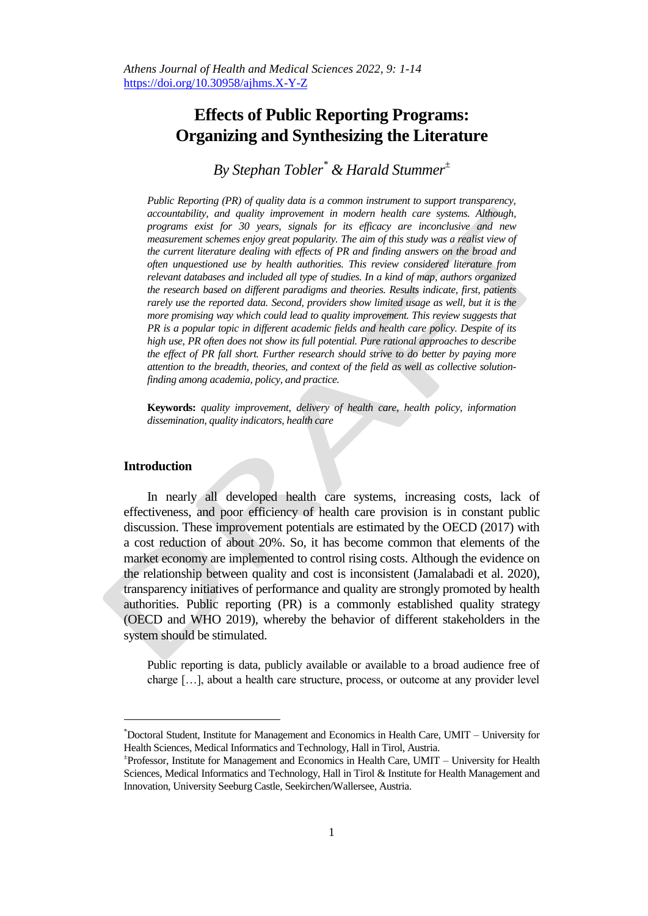# **Effects of Public Reporting Programs: Organizing and Synthesizing the Literature**

*By Stephan Tobler\* & Harald Stummer<sup>±</sup>* 

*Public Reporting (PR) of quality data is a common instrument to support transparency, accountability, and quality improvement in modern health care systems. Although, programs exist for 30 years, signals for its efficacy are inconclusive and new measurement schemes enjoy great popularity. The aim of this study was a realist view of the current literature dealing with effects of PR and finding answers on the broad and often unquestioned use by health authorities. This review considered literature from relevant databases and included all type of studies. In a kind of map, authors organized the research based on different paradigms and theories. Results indicate, first, patients rarely use the reported data. Second, providers show limited usage as well, but it is the more promising way which could lead to quality improvement. This review suggests that PR is a popular topic in different academic fields and health care policy. Despite of its high use, PR often does not show its full potential. Pure rational approaches to describe the effect of PR fall short. Further research should strive to do better by paying more attention to the breadth, theories, and context of the field as well as collective solutionfinding among academia, policy, and practice.*

**Keywords:** *quality improvement, delivery of health care, health policy, information dissemination, quality indicators, health care*

## **Introduction**

 $\overline{a}$ 

In nearly all developed health care systems, increasing costs, lack of effectiveness, and poor efficiency of health care provision is in constant public discussion. These improvement potentials are estimated by the OECD (2017) with a cost reduction of about 20%. So, it has become common that elements of the market economy are implemented to control rising costs. Although the evidence on the relationship between quality and cost is inconsistent (Jamalabadi et al. 2020), transparency initiatives of performance and quality are strongly promoted by health authorities. Public reporting (PR) is a commonly established quality strategy (OECD and WHO 2019), whereby the behavior of different stakeholders in the system should be stimulated.

Public reporting is data, publicly available or available to a broad audience free of charge […], about a health care structure, process, or outcome at any provider level

<sup>\*</sup>Doctoral Student, Institute for Management and Economics in Health Care, UMIT – University for Health Sciences, Medical Informatics and Technology, Hall in Tirol, Austria.

<sup>±</sup> Professor, Institute for Management and Economics in Health Care, UMIT – University for Health Sciences, Medical Informatics and Technology, Hall in Tirol & Institute for Health Management and Innovation, University Seeburg Castle, Seekirchen/Wallersee, Austria.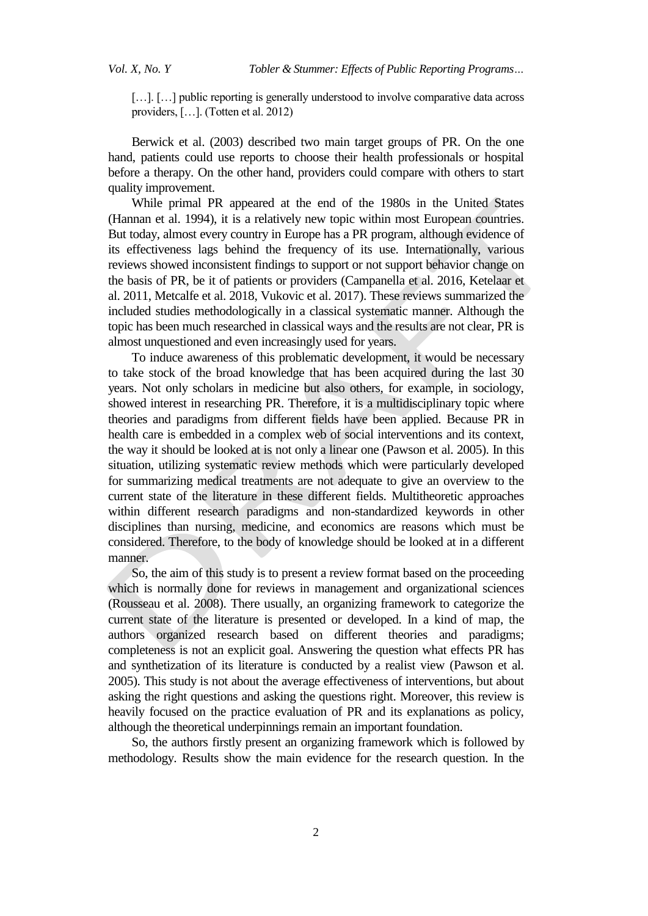[...]. [...] public reporting is generally understood to involve comparative data across providers, […]. (Totten et al. 2012)

Berwick et al. (2003) described two main target groups of PR. On the one hand, patients could use reports to choose their health professionals or hospital before a therapy. On the other hand, providers could compare with others to start quality improvement.

While primal PR appeared at the end of the 1980s in the United States (Hannan et al. 1994), it is a relatively new topic within most European countries. But today, almost every country in Europe has a PR program, although evidence of its effectiveness lags behind the frequency of its use. Internationally, various reviews showed inconsistent findings to support or not support behavior change on the basis of PR, be it of patients or providers (Campanella et al. 2016, Ketelaar et al. 2011, Metcalfe et al. 2018, Vukovic et al. 2017). These reviews summarized the included studies methodologically in a classical systematic manner. Although the topic has been much researched in classical ways and the results are not clear, PR is almost unquestioned and even increasingly used for years.

To induce awareness of this problematic development, it would be necessary to take stock of the broad knowledge that has been acquired during the last 30 years. Not only scholars in medicine but also others, for example, in sociology, showed interest in researching PR. Therefore, it is a multidisciplinary topic where theories and paradigms from different fields have been applied. Because PR in health care is embedded in a complex web of social interventions and its context, the way it should be looked at is not only a linear one (Pawson et al. 2005). In this situation, utilizing systematic review methods which were particularly developed for summarizing medical treatments are not adequate to give an overview to the current state of the literature in these different fields. Multitheoretic approaches within different research paradigms and non-standardized keywords in other disciplines than nursing, medicine, and economics are reasons which must be considered. Therefore, to the body of knowledge should be looked at in a different manner.

So, the aim of this study is to present a review format based on the proceeding which is normally done for reviews in management and organizational sciences (Rousseau et al. 2008). There usually, an organizing framework to categorize the current state of the literature is presented or developed. In a kind of map, the authors organized research based on different theories and paradigms; completeness is not an explicit goal. Answering the question what effects PR has and synthetization of its literature is conducted by a realist view (Pawson et al. 2005). This study is not about the average effectiveness of interventions, but about asking the right questions and asking the questions right. Moreover, this review is heavily focused on the practice evaluation of PR and its explanations as policy, although the theoretical underpinnings remain an important foundation.

So, the authors firstly present an organizing framework which is followed by methodology. Results show the main evidence for the research question. In the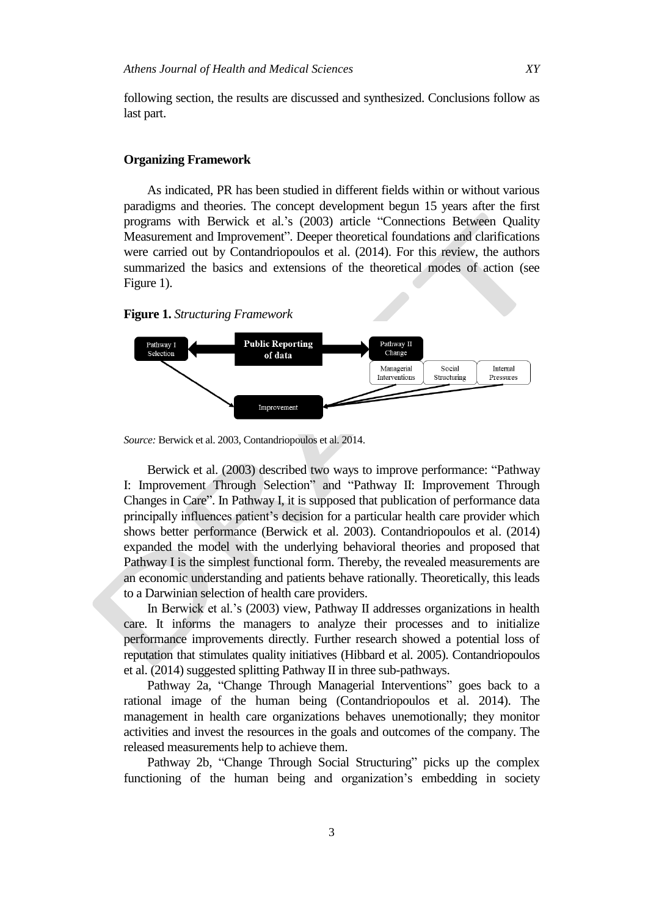following section, the results are discussed and synthesized. Conclusions follow as last part.

## **Organizing Framework**

As indicated, PR has been studied in different fields within or without various paradigms and theories. The concept development begun 15 years after the first programs with Berwick et al.'s (2003) article "Connections Between Quality Measurement and Improvement". Deeper theoretical foundations and clarifications were carried out by Contandriopoulos et al. (2014). For this review, the authors summarized the basics and extensions of the theoretical modes of action (see Figure 1).

**Figure 1.** *Structuring Framework*



*Source:* Berwick et al. 2003, Contandriopoulos et al. 2014.

Berwick et al. (2003) described two ways to improve performance: "Pathway I: Improvement Through Selection" and "Pathway II: Improvement Through Changes in Care". In Pathway I, it is supposed that publication of performance data principally influences patient's decision for a particular health care provider which shows better performance (Berwick et al. 2003). Contandriopoulos et al. (2014) expanded the model with the underlying behavioral theories and proposed that Pathway I is the simplest functional form. Thereby, the revealed measurements are an economic understanding and patients behave rationally. Theoretically, this leads to a Darwinian selection of health care providers.

In Berwick et al.'s (2003) view, Pathway II addresses organizations in health care. It informs the managers to analyze their processes and to initialize performance improvements directly. Further research showed a potential loss of reputation that stimulates quality initiatives (Hibbard et al. 2005). Contandriopoulos et al. (2014) suggested splitting Pathway II in three sub-pathways.

Pathway 2a, "Change Through Managerial Interventions" goes back to a rational image of the human being (Contandriopoulos et al. 2014). The management in health care organizations behaves unemotionally; they monitor activities and invest the resources in the goals and outcomes of the company. The released measurements help to achieve them.

Pathway 2b, "Change Through Social Structuring" picks up the complex functioning of the human being and organization's embedding in society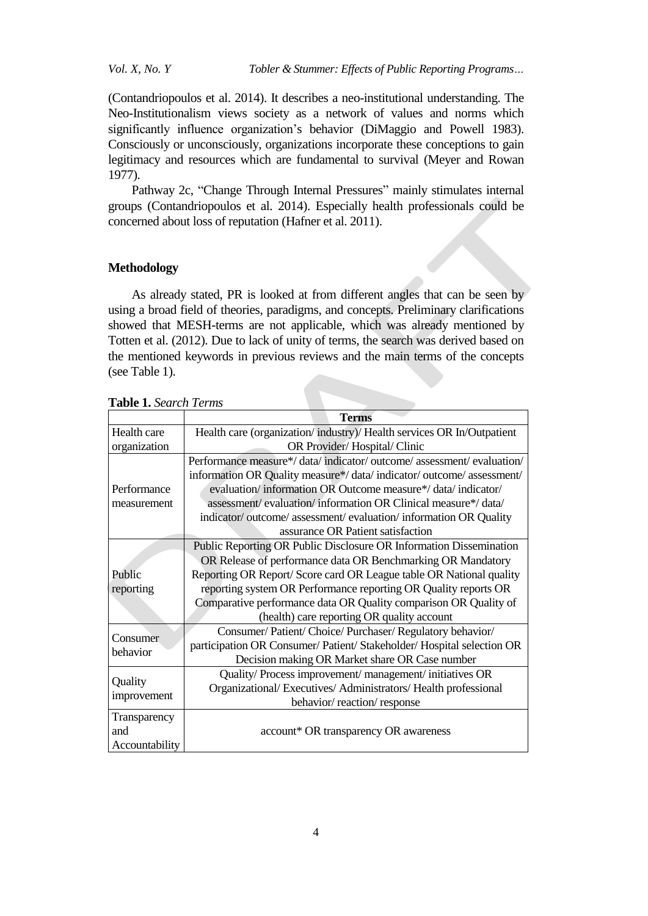*Vol. X, No. Y Tobler & Stummer: Effects of Public Reporting Programs…*

(Contandriopoulos et al. 2014). It describes a neo-institutional understanding. The Neo-Institutionalism views society as a network of values and norms which significantly influence organization's behavior (DiMaggio and Powell 1983). Consciously or unconsciously, organizations incorporate these conceptions to gain legitimacy and resources which are fundamental to survival (Meyer and Rowan 1977).

Pathway 2c, "Change Through Internal Pressures" mainly stimulates internal groups (Contandriopoulos et al. 2014). Especially health professionals could be concerned about loss of reputation (Hafner et al. 2011).

# **Methodology**

As already stated, PR is looked at from different angles that can be seen by using a broad field of theories, paradigms, and concepts. Preliminary clarifications showed that MESH-terms are not applicable, which was already mentioned by Totten et al. (2012). Due to lack of unity of terms, the search was derived based on the mentioned keywords in previous reviews and the main terms of the concepts (see Table 1).

|  | <b>Table 1.</b> Search Terms |  |
|--|------------------------------|--|
|--|------------------------------|--|

|                        | <b>Terms</b>                                                                                                                                                                                               |  |  |
|------------------------|------------------------------------------------------------------------------------------------------------------------------------------------------------------------------------------------------------|--|--|
| Health care            | Health care (organization/industry)/Health services OR In/Outpatient                                                                                                                                       |  |  |
| organization           | OR Provider/Hospital/Clinic                                                                                                                                                                                |  |  |
|                        | Performance measure*/ data/indicator/ outcome/ assessment/ evaluation/                                                                                                                                     |  |  |
|                        | information OR Quality measure*/ data/indicator/outcome/assessment/                                                                                                                                        |  |  |
| Performance            | evaluation/information OR Outcome measure*/data/indicator/                                                                                                                                                 |  |  |
| measurement            | assessment/evaluation/information OR Clinical measure*/data/                                                                                                                                               |  |  |
|                        | indicator/outcome/assessment/evaluation/information OR Quality                                                                                                                                             |  |  |
|                        | assurance OR Patient satisfaction                                                                                                                                                                          |  |  |
|                        | Public Reporting OR Public Disclosure OR Information Dissemination                                                                                                                                         |  |  |
|                        | OR Release of performance data OR Benchmarking OR Mandatory                                                                                                                                                |  |  |
| Public                 | Reporting OR Report/ Score card OR League table OR National quality<br>reporting system OR Performance reporting OR Quality reports OR<br>Comparative performance data OR Quality comparison OR Quality of |  |  |
| reporting              |                                                                                                                                                                                                            |  |  |
|                        |                                                                                                                                                                                                            |  |  |
|                        | (health) care reporting OR quality account                                                                                                                                                                 |  |  |
| Consumer<br>behavior   | Consumer/Patient/Choice/Purchaser/Regulatory behavior/                                                                                                                                                     |  |  |
|                        | participation OR Consumer/ Patient/ Stakeholder/ Hospital selection OR                                                                                                                                     |  |  |
|                        | Decision making OR Market share OR Case number                                                                                                                                                             |  |  |
| Quality<br>improvement | Quality/Process improvement/management/initiatives OR                                                                                                                                                      |  |  |
|                        | Organizational/Executives/Administrators/Health professional                                                                                                                                               |  |  |
|                        | behavior/reaction/response                                                                                                                                                                                 |  |  |
| Transparency           |                                                                                                                                                                                                            |  |  |
| and                    | account* OR transparency OR awareness                                                                                                                                                                      |  |  |
| Accountability         |                                                                                                                                                                                                            |  |  |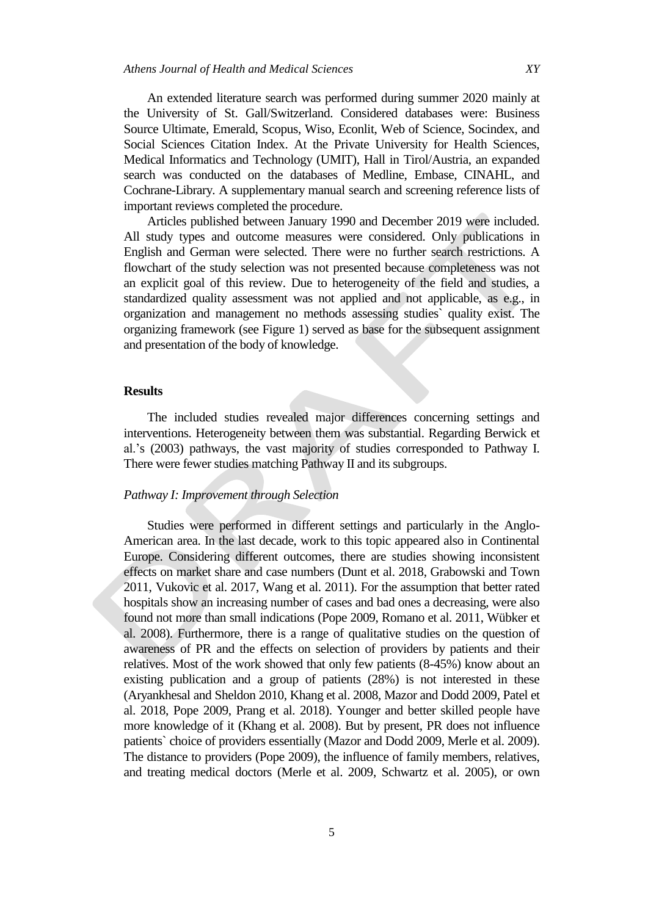An extended literature search was performed during summer 2020 mainly at the University of St. Gall/Switzerland. Considered databases were: Business Source Ultimate, Emerald, Scopus, Wiso, Econlit, Web of Science, Socindex, and Social Sciences Citation Index. At the Private University for Health Sciences, Medical Informatics and Technology (UMIT), Hall in Tirol/Austria, an expanded search was conducted on the databases of Medline, Embase, CINAHL, and Cochrane-Library. A supplementary manual search and screening reference lists of important reviews completed the procedure.

Articles published between January 1990 and December 2019 were included. All study types and outcome measures were considered. Only publications in English and German were selected. There were no further search restrictions. A flowchart of the study selection was not presented because completeness was not an explicit goal of this review. Due to heterogeneity of the field and studies, a standardized quality assessment was not applied and not applicable, as e.g., in organization and management no methods assessing studies` quality exist. The organizing framework (see Figure 1) served as base for the subsequent assignment and presentation of the body of knowledge.

## **Results**

The included studies revealed major differences concerning settings and interventions. Heterogeneity between them was substantial. Regarding Berwick et al.'s (2003) pathways, the vast majority of studies corresponded to Pathway I. There were fewer studies matching Pathway II and its subgroups.

# *Pathway I: Improvement through Selection*

Studies were performed in different settings and particularly in the Anglo-American area. In the last decade, work to this topic appeared also in Continental Europe. Considering different outcomes, there are studies showing inconsistent effects on market share and case numbers (Dunt et al. 2018, Grabowski and Town 2011, Vukovic et al. 2017, Wang et al. 2011). For the assumption that better rated hospitals show an increasing number of cases and bad ones a decreasing, were also found not more than small indications (Pope 2009, Romano et al. 2011, Wübker et al. 2008). Furthermore, there is a range of qualitative studies on the question of awareness of PR and the effects on selection of providers by patients and their relatives. Most of the work showed that only few patients (8-45%) know about an existing publication and a group of patients (28%) is not interested in these (Aryankhesal and Sheldon 2010, Khang et al. 2008, Mazor and Dodd 2009, Patel et al. 2018, Pope 2009, Prang et al. 2018). Younger and better skilled people have more knowledge of it (Khang et al. 2008). But by present, PR does not influence patients` choice of providers essentially (Mazor and Dodd 2009, Merle et al. 2009). The distance to providers (Pope 2009), the influence of family members, relatives, and treating medical doctors (Merle et al. 2009, Schwartz et al. 2005), or own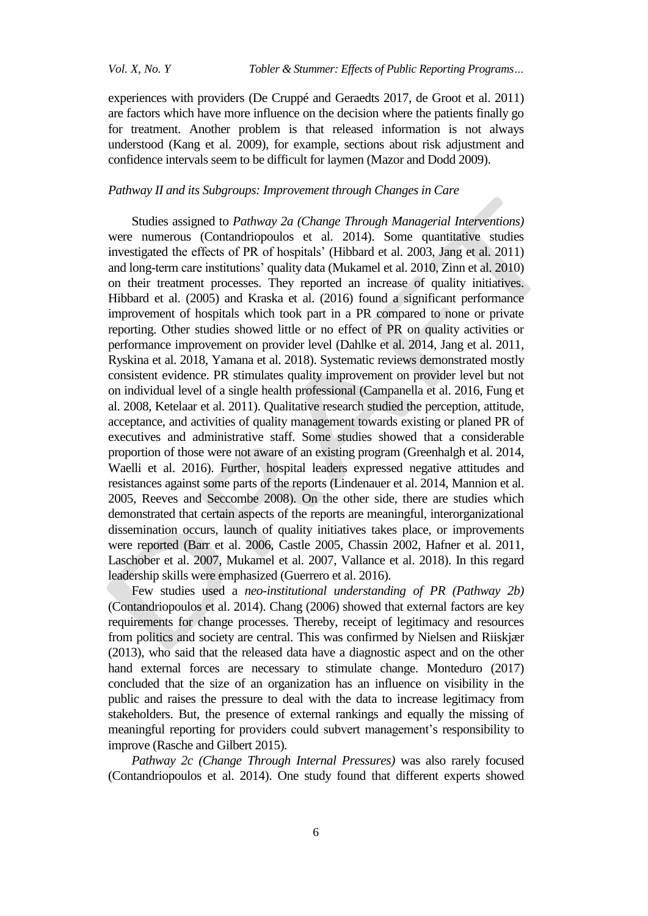experiences with providers (De Cruppé and Geraedts 2017, de Groot et al. 2011) are factors which have more influence on the decision where the patients finally go for treatment. Another problem is that released information is not always understood (Kang et al. 2009), for example, sections about risk adjustment and confidence intervals seem to be difficult for laymen (Mazor and Dodd 2009).

## *Pathway II and its Subgroups: Improvement through Changes in Care*

Studies assigned to *Pathway 2a (Change Through Managerial Interventions)*  were numerous (Contandriopoulos et al. 2014). Some quantitative studies investigated the effects of PR of hospitals' (Hibbard et al. 2003, Jang et al. 2011) and long-term care institutions' quality data (Mukamel et al. 2010, Zinn et al. 2010) on their treatment processes. They reported an increase of quality initiatives. Hibbard et al. (2005) and Kraska et al. (2016) found a significant performance improvement of hospitals which took part in a PR compared to none or private reporting. Other studies showed little or no effect of PR on quality activities or performance improvement on provider level (Dahlke et al. 2014, Jang et al. 2011, Ryskina et al. 2018, Yamana et al. 2018). Systematic reviews demonstrated mostly consistent evidence. PR stimulates quality improvement on provider level but not on individual level of a single health professional (Campanella et al. 2016, Fung et al. 2008, Ketelaar et al. 2011). Qualitative research studied the perception, attitude, acceptance, and activities of quality management towards existing or planed PR of executives and administrative staff. Some studies showed that a considerable proportion of those were not aware of an existing program (Greenhalgh et al. 2014, Waelli et al. 2016). Further, hospital leaders expressed negative attitudes and resistances against some parts of the reports (Lindenauer et al. 2014, Mannion et al. 2005, Reeves and Seccombe 2008). On the other side, there are studies which demonstrated that certain aspects of the reports are meaningful, interorganizational dissemination occurs, launch of quality initiatives takes place, or improvements were reported (Barr et al. 2006, Castle 2005, Chassin 2002, Hafner et al. 2011, Laschober et al. 2007, Mukamel et al. 2007, Vallance et al. 2018). In this regard leadership skills were emphasized (Guerrero et al. 2016).

Few studies used a *neo-institutional understanding of PR (Pathway 2b)* (Contandriopoulos et al. 2014). Chang (2006) showed that external factors are key requirements for change processes. Thereby, receipt of legitimacy and resources from politics and society are central. This was confirmed by Nielsen and Riiskjær (2013), who said that the released data have a diagnostic aspect and on the other hand external forces are necessary to stimulate change. Monteduro (2017) concluded that the size of an organization has an influence on visibility in the public and raises the pressure to deal with the data to increase legitimacy from stakeholders. But, the presence of external rankings and equally the missing of meaningful reporting for providers could subvert management's responsibility to improve (Rasche and Gilbert 2015).

*Pathway 2c (Change Through Internal Pressures)* was also rarely focused (Contandriopoulos et al. 2014). One study found that different experts showed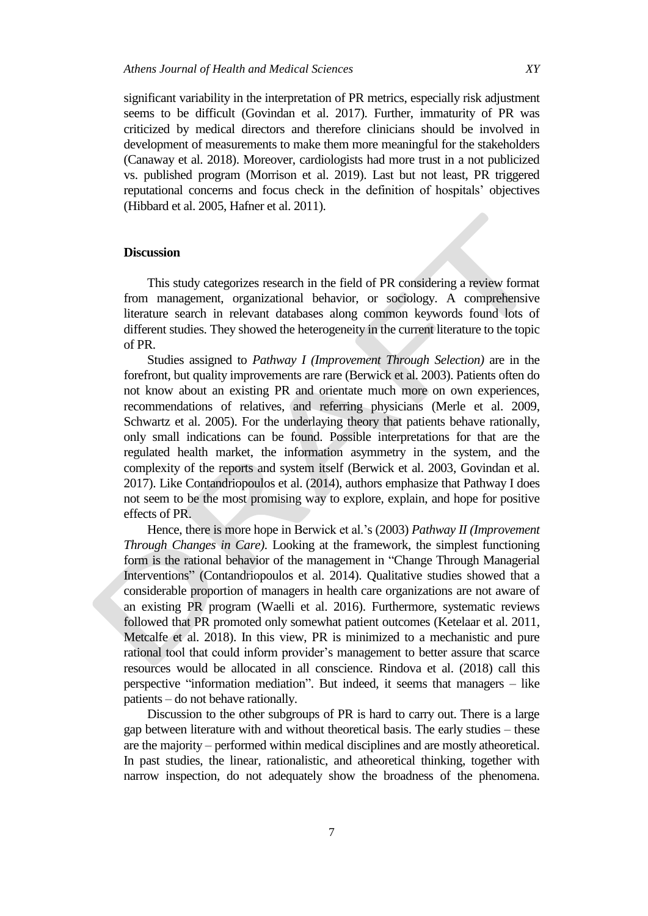significant variability in the interpretation of PR metrics, especially risk adjustment seems to be difficult (Govindan et al. 2017). Further, immaturity of PR was

criticized by medical directors and therefore clinicians should be involved in development of measurements to make them more meaningful for the stakeholders (Canaway et al. 2018). Moreover, cardiologists had more trust in a not publicized vs. published program (Morrison et al. 2019). Last but not least, PR triggered reputational concerns and focus check in the definition of hospitals' objectives (Hibbard et al. 2005, Hafner et al. 2011).

### **Discussion**

This study categorizes research in the field of PR considering a review format from management, organizational behavior, or sociology. A comprehensive literature search in relevant databases along common keywords found lots of different studies. They showed the heterogeneity in the current literature to the topic of PR.

Studies assigned to *Pathway I (Improvement Through Selection)* are in the forefront, but quality improvements are rare (Berwick et al. 2003). Patients often do not know about an existing PR and orientate much more on own experiences, recommendations of relatives, and referring physicians (Merle et al. 2009, Schwartz et al. 2005). For the underlaying theory that patients behave rationally, only small indications can be found. Possible interpretations for that are the regulated health market, the information asymmetry in the system, and the complexity of the reports and system itself (Berwick et al. 2003, Govindan et al. 2017). Like Contandriopoulos et al. (2014), authors emphasize that Pathway I does not seem to be the most promising way to explore, explain, and hope for positive effects of PR.

Hence, there is more hope in Berwick et al.'s (2003) *Pathway II (Improvement Through Changes in Care)*. Looking at the framework, the simplest functioning form is the rational behavior of the management in "Change Through Managerial Interventions" (Contandriopoulos et al. 2014). Qualitative studies showed that a considerable proportion of managers in health care organizations are not aware of an existing PR program (Waelli et al. 2016). Furthermore, systematic reviews followed that PR promoted only somewhat patient outcomes (Ketelaar et al. 2011, Metcalfe et al. 2018). In this view, PR is minimized to a mechanistic and pure rational tool that could inform provider's management to better assure that scarce resources would be allocated in all conscience. Rindova et al. (2018) call this perspective "information mediation". But indeed, it seems that managers – like patients – do not behave rationally.

Discussion to the other subgroups of PR is hard to carry out. There is a large gap between literature with and without theoretical basis. The early studies – these are the majority – performed within medical disciplines and are mostly atheoretical. In past studies, the linear, rationalistic, and atheoretical thinking, together with narrow inspection, do not adequately show the broadness of the phenomena.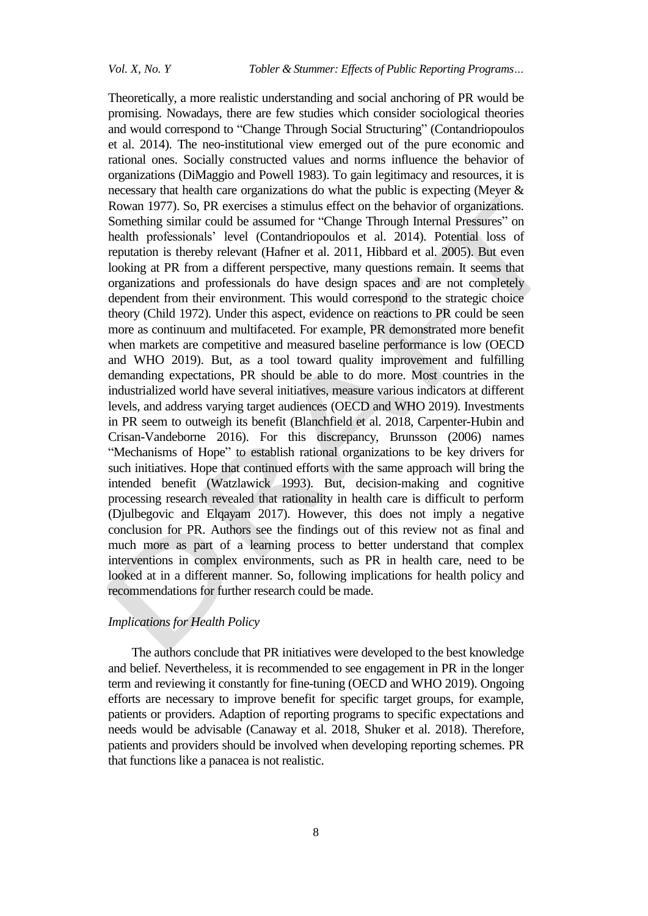Theoretically, a more realistic understanding and social anchoring of PR would be promising. Nowadays, there are few studies which consider sociological theories and would correspond to "Change Through Social Structuring" (Contandriopoulos et al. 2014). The neo-institutional view emerged out of the pure economic and rational ones. Socially constructed values and norms influence the behavior of organizations (DiMaggio and Powell 1983). To gain legitimacy and resources, it is necessary that health care organizations do what the public is expecting (Meyer & Rowan 1977). So, PR exercises a stimulus effect on the behavior of organizations. Something similar could be assumed for "Change Through Internal Pressures" on health professionals' level (Contandriopoulos et al. 2014). Potential loss of reputation is thereby relevant (Hafner et al. 2011, Hibbard et al. 2005). But even looking at PR from a different perspective, many questions remain. It seems that organizations and professionals do have design spaces and are not completely dependent from their environment. This would correspond to the strategic choice theory (Child 1972). Under this aspect, evidence on reactions to PR could be seen more as continuum and multifaceted. For example, PR demonstrated more benefit when markets are competitive and measured baseline performance is low (OECD and WHO 2019). But, as a tool toward quality improvement and fulfilling demanding expectations, PR should be able to do more. Most countries in the industrialized world have several initiatives, measure various indicators at different levels, and address varying target audiences (OECD and WHO 2019). Investments in PR seem to outweigh its benefit (Blanchfield et al. 2018, Carpenter-Hubin and Crisan-Vandeborne 2016). For this discrepancy, Brunsson (2006) names "Mechanisms of Hope" to establish rational organizations to be key drivers for such initiatives. Hope that continued efforts with the same approach will bring the intended benefit (Watzlawick 1993). But, decision-making and cognitive processing research revealed that rationality in health care is difficult to perform (Djulbegovic and Elqayam 2017). However, this does not imply a negative conclusion for PR. Authors see the findings out of this review not as final and much more as part of a learning process to better understand that complex interventions in complex environments, such as PR in health care, need to be looked at in a different manner. So, following implications for health policy and recommendations for further research could be made.

#### *Implications for Health Policy*

The authors conclude that PR initiatives were developed to the best knowledge and belief. Nevertheless, it is recommended to see engagement in PR in the longer term and reviewing it constantly for fine-tuning (OECD and WHO 2019). Ongoing efforts are necessary to improve benefit for specific target groups, for example, patients or providers. Adaption of reporting programs to specific expectations and needs would be advisable (Canaway et al. 2018, Shuker et al. 2018). Therefore, patients and providers should be involved when developing reporting schemes. PR that functions like a panacea is not realistic.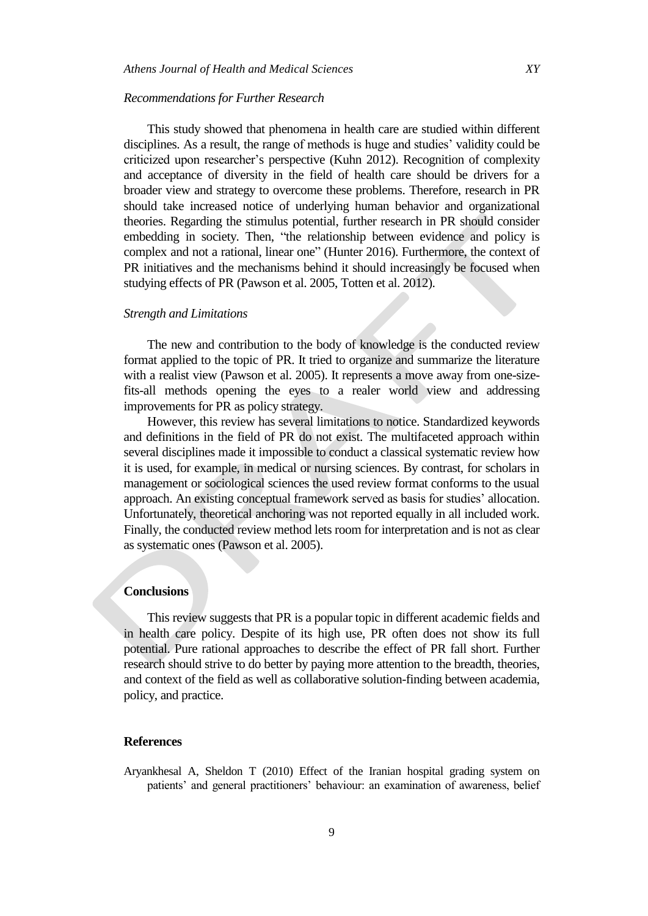#### *Recommendations for Further Research*

This study showed that phenomena in health care are studied within different disciplines. As a result, the range of methods is huge and studies' validity could be criticized upon researcher's perspective (Kuhn 2012). Recognition of complexity and acceptance of diversity in the field of health care should be drivers for a broader view and strategy to overcome these problems. Therefore, research in PR should take increased notice of underlying human behavior and organizational theories. Regarding the stimulus potential, further research in PR should consider embedding in society. Then, "the relationship between evidence and policy is complex and not a rational, linear one" (Hunter 2016). Furthermore, the context of PR initiatives and the mechanisms behind it should increasingly be focused when studying effects of PR (Pawson et al. 2005, Totten et al. 2012).

#### *Strength and Limitations*

The new and contribution to the body of knowledge is the conducted review format applied to the topic of PR. It tried to organize and summarize the literature with a realist view (Pawson et al. 2005). It represents a move away from one-sizefits-all methods opening the eyes to a realer world view and addressing improvements for PR as policy strategy.

However, this review has several limitations to notice. Standardized keywords and definitions in the field of PR do not exist. The multifaceted approach within several disciplines made it impossible to conduct a classical systematic review how it is used, for example, in medical or nursing sciences. By contrast, for scholars in management or sociological sciences the used review format conforms to the usual approach. An existing conceptual framework served as basis for studies' allocation. Unfortunately, theoretical anchoring was not reported equally in all included work. Finally, the conducted review method lets room for interpretation and is not as clear as systematic ones (Pawson et al. 2005).

# **Conclusions**

This review suggests that PR is a popular topic in different academic fields and in health care policy. Despite of its high use, PR often does not show its full potential. Pure rational approaches to describe the effect of PR fall short. Further research should strive to do better by paying more attention to the breadth, theories, and context of the field as well as collaborative solution-finding between academia, policy, and practice.

#### **References**

Aryankhesal A, Sheldon T (2010) Effect of the Iranian hospital grading system on patients' and general practitioners' behaviour: an examination of awareness, belief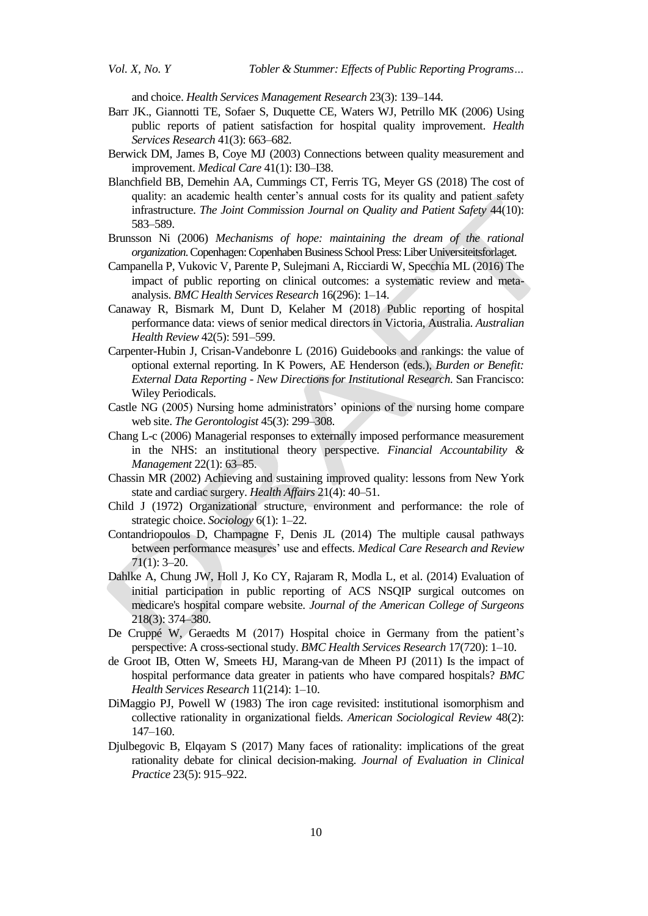and choice. *Health Services Management Research* 23(3): 139–144.

- Barr JK., Giannotti TE, Sofaer S, Duquette CE, Waters WJ, Petrillo MK (2006) Using public reports of patient satisfaction for hospital quality improvement. *Health Services Research* 41(3): 663–682.
- Berwick DM, James B, Coye MJ (2003) Connections between quality measurement and improvement. *Medical Care* 41(1): I30–I38.
- Blanchfield BB, Demehin AA, Cummings CT, Ferris TG, Meyer GS (2018) The cost of quality: an academic health center's annual costs for its quality and patient safety infrastructure. *The Joint Commission Journal on Quality and Patient Safety* 44(10): 583–589.
- Brunsson Ni (2006) *Mechanisms of hope: maintaining the dream of the rational organization*. Copenhagen: Copenhaben Business School Press: Liber Universiteitsforlaget.
- Campanella P, Vukovic V, Parente P, Sulejmani A, Ricciardi W, Specchia ML (2016) The impact of public reporting on clinical outcomes: a systematic review and metaanalysis. *BMC Health Services Research* 16(296): 1–14.
- Canaway R, Bismark M, Dunt D, Kelaher M (2018) Public reporting of hospital performance data: views of senior medical directors in Victoria, Australia. *Australian Health Review* 42(5): 591–599.
- Carpenter-Hubin J, Crisan-Vandebonre L (2016) Guidebooks and rankings: the value of optional external reporting. In K Powers, AE Henderson (eds.), *Burden or Benefit: External Data Reporting - New Directions for Institutional Research*. San Francisco: Wiley Periodicals.
- Castle NG (2005) Nursing home administrators' opinions of the nursing home compare web site. *The Gerontologist* 45(3): 299–308.
- Chang L-c (2006) Managerial responses to externally imposed performance measurement in the NHS: an institutional theory perspective. *Financial Accountability & Management* 22(1): 63–85.
- Chassin MR (2002) Achieving and sustaining improved quality: lessons from New York state and cardiac surgery. *Health Affairs* 21(4): 40–51.
- Child J (1972) Organizational structure, environment and performance: the role of strategic choice. *Sociology* 6(1): 1–22.
- Contandriopoulos D, Champagne F, Denis JL (2014) The multiple causal pathways between performance measures' use and effects. *Medical Care Research and Review* 71(1): 3–20.
- Dahlke A, Chung JW, Holl J, Ko CY, Rajaram R, Modla L, et al. (2014) Evaluation of initial participation in public reporting of ACS NSQIP surgical outcomes on medicare's hospital compare website. *Journal of the American College of Surgeons* 218(3): 374–380.
- De Cruppé W, Geraedts M (2017) Hospital choice in Germany from the patient's perspective: A cross-sectional study. *BMC Health Services Research* 17(720): 1–10.
- de Groot IB, Otten W, Smeets HJ, Marang-van de Mheen PJ (2011) Is the impact of hospital performance data greater in patients who have compared hospitals? *BMC Health Services Research* 11(214): 1–10.
- DiMaggio PJ, Powell W (1983) The iron cage revisited: institutional isomorphism and collective rationality in organizational fields. *American Sociological Review* 48(2): 147–160.
- Djulbegovic B, Elqayam S (2017) Many faces of rationality: implications of the great rationality debate for clinical decision-making. *Journal of Evaluation in Clinical Practice* 23(5): 915–922.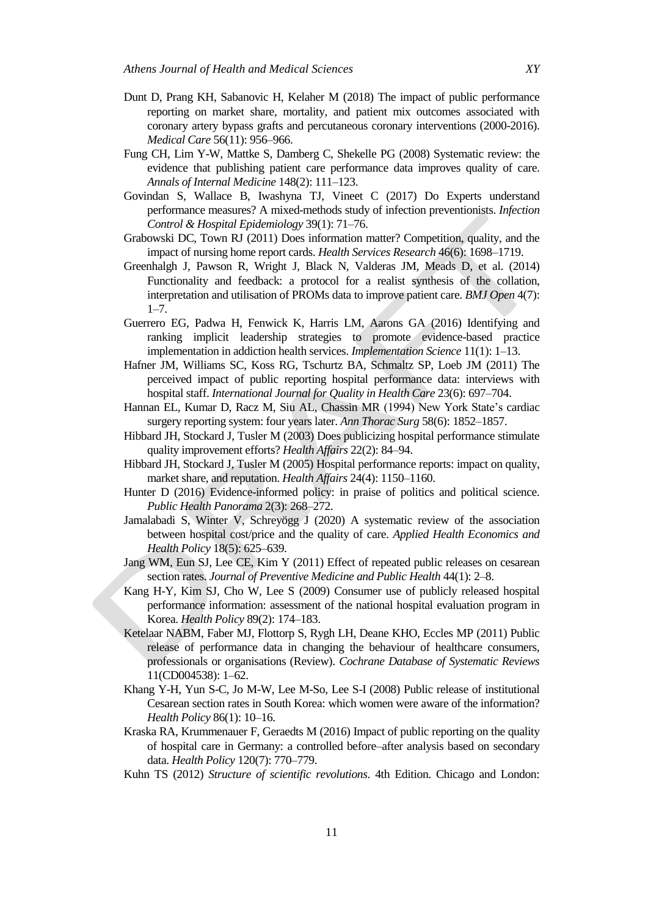- Dunt D, Prang KH, Sabanovic H, Kelaher M (2018) The impact of public performance reporting on market share, mortality, and patient mix outcomes associated with coronary artery bypass grafts and percutaneous coronary interventions (2000-2016). *Medical Care* 56(11): 956–966.
- Fung CH, Lim Y-W, Mattke S, Damberg C, Shekelle PG (2008) Systematic review: the evidence that publishing patient care performance data improves quality of care. *Annals of Internal Medicine* 148(2): 111–123.
- Govindan S, Wallace B, Iwashyna TJ, Vineet C (2017) Do Experts understand performance measures? A mixed-methods study of infection preventionists. *Infection Control & Hospital Epidemiology* 39(1): 71–76.
- Grabowski DC, Town RJ (2011) Does information matter? Competition, quality, and the impact of nursing home report cards. *Health Services Research* 46(6): 1698–1719.
- Greenhalgh J, Pawson R, Wright J, Black N, Valderas JM, Meads D, et al. (2014) Functionality and feedback: a protocol for a realist synthesis of the collation, interpretation and utilisation of PROMs data to improve patient care. *BMJ Open* 4(7):  $1 - 7$ .
- Guerrero EG, Padwa H, Fenwick K, Harris LM, Aarons GA (2016) Identifying and ranking implicit leadership strategies to promote evidence-based practice implementation in addiction health services. *Implementation Science* 11(1): 1–13.
- Hafner JM, Williams SC, Koss RG, Tschurtz BA, Schmaltz SP, Loeb JM (2011) The perceived impact of public reporting hospital performance data: interviews with hospital staff. *International Journal for Quality in Health Care* 23(6): 697–704.
- Hannan EL, Kumar D, Racz M, Siu AL, Chassin MR (1994) New York State's cardiac surgery reporting system: four years later. *Ann Thorac Surg* 58(6): 1852–1857.
- Hibbard JH, Stockard J, Tusler M (2003) Does publicizing hospital performance stimulate quality improvement efforts? *Health Affairs* 22(2): 84–94.
- Hibbard JH, Stockard J, Tusler M (2005) Hospital performance reports: impact on quality, market share, and reputation. *Health Affairs* 24(4): 1150–1160.
- Hunter D (2016) Evidence-informed policy: in praise of politics and political science. *Public Health Panorama* 2(3): 268–272.
- Jamalabadi S, Winter V, Schreyögg J (2020) A systematic review of the association between hospital cost/price and the quality of care. *Applied Health Economics and Health Policy* 18(5): 625–639.
- Jang WM, Eun SJ, Lee CE, Kim Y (2011) Effect of repeated public releases on cesarean section rates. *Journal of Preventive Medicine and Public Health* 44(1): 2–8.
- Kang H-Y, Kim SJ, Cho W, Lee S (2009) Consumer use of publicly released hospital performance information: assessment of the national hospital evaluation program in Korea. *Health Policy* 89(2): 174–183.
- Ketelaar NABM, Faber MJ, Flottorp S, Rygh LH, Deane KHO, Eccles MP (2011) Public release of performance data in changing the behaviour of healthcare consumers, professionals or organisations (Review). *Cochrane Database of Systematic Reviews* 11(CD004538): 1–62.
- Khang Y-H, Yun S-C, Jo M-W, Lee M-So, Lee S-I (2008) Public release of institutional Cesarean section rates in South Korea: which women were aware of the information? *Health Policy* 86(1): 10–16.
- Kraska RA, Krummenauer F, Geraedts M (2016) Impact of public reporting on the quality of hospital care in Germany: a controlled before–after analysis based on secondary data. *Health Policy* 120(7): 770–779.
- Kuhn TS (2012) *Structure of scientific revolutions*. 4th Edition. Chicago and London: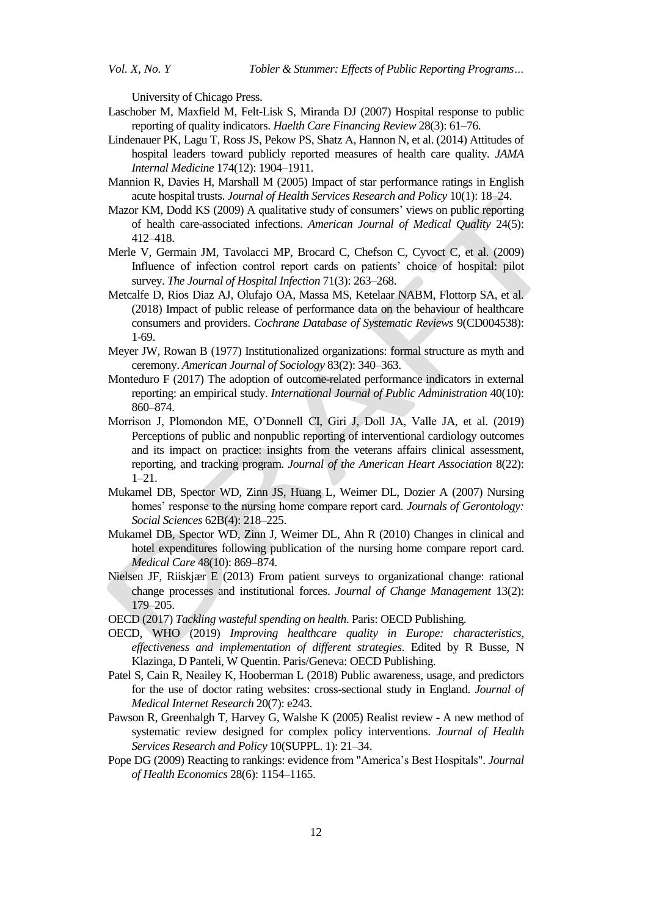University of Chicago Press.

- Laschober M, Maxfield M, Felt-Lisk S, Miranda DJ (2007) Hospital response to public reporting of quality indicators. *Haelth Care Financing Review* 28(3): 61–76.
- Lindenauer PK, Lagu T, Ross JS, Pekow PS, Shatz Α, Hannon N, et al. (2014) Attitudes of hospital leaders toward publicly reported measures of health care quality. *JAMA Internal Medicine* 174(12): 1904–1911.
- Mannion R, Davies H, Marshall M (2005) Impact of star performance ratings in English acute hospital trusts. *Journal of Health Services Research and Policy* 10(1): 18–24.
- Mazor KM, Dodd KS (2009) A qualitative study of consumers' views on public reporting of health care-associated infections. *American Journal of Medical Quality* 24(5): 412–418.
- Merle V, Germain JM, Tavolacci MP, Brocard C, Chefson C, Cyvoct C, et al. (2009) Influence of infection control report cards on patients' choice of hospital: pilot survey. *The Journal of Hospital Infection* 71(3): 263–268.
- Metcalfe D, Rios Diaz AJ, Olufajo OA, Massa MS, Ketelaar NABM, Flottorp SA, et al. (2018) Impact of public release of performance data on the behaviour of healthcare consumers and providers. *Cochrane Database of Systematic Reviews* 9(CD004538): 1-69.
- Meyer JW, Rowan B (1977) Institutionalized organizations: formal structure as myth and ceremony. *American Journal of Sociology* 83(2): 340–363.
- Monteduro F (2017) The adoption of outcome-related performance indicators in external reporting: an empirical study. *International Journal of Public Administration* 40(10): 860–874.
- Morrison J, Plomondon ME, O'Donnell CI, Giri J, Doll JA, Valle JA, et al. (2019) Perceptions of public and nonpublic reporting of interventional cardiology outcomes and its impact on practice: insights from the veterans affairs clinical assessment, reporting, and tracking program. *Journal of the American Heart Association* 8(22): 1–21.
- Mukamel DB, Spector WD, Zinn JS, Huang L, Weimer DL, Dozier A (2007) Nursing homes' response to the nursing home compare report card. *Journals of Gerontology: Social Sciences* 62B(4): 218–225.
- Mukamel DB, Spector WD, Zinn J, Weimer DL, Ahn R (2010) Changes in clinical and hotel expenditures following publication of the nursing home compare report card. *Medical Care* 48(10): 869–874.
- Nielsen JF, Riiskjær E (2013) From patient surveys to organizational change: rational change processes and institutional forces. *Journal of Change Management* 13(2): 179–205.
- OECD (2017) *Tackling wasteful spending on health*. Paris: OECD Publishing.
- OECD, WHO (2019) *Improving healthcare quality in Europe: characteristics, effectiveness and implementation of different strategies*. Edited by R Busse, N Klazinga, D Panteli, W Quentin. Paris/Geneva: OECD Publishing.
- Patel S, Cain R, Neailey K, Hooberman L (2018) Public awareness, usage, and predictors for the use of doctor rating websites: cross-sectional study in England. *Journal of Medical Internet Research* 20(7): e243.
- Pawson R, Greenhalgh T, Harvey G, Walshe K (2005) Realist review A new method of systematic review designed for complex policy interventions. *Journal of Health Services Research and Policy* 10(SUPPL. 1): 21–34.
- Pope DG (2009) Reacting to rankings: evidence from "America's Best Hospitals". *Journal of Health Economics* 28(6): 1154–1165.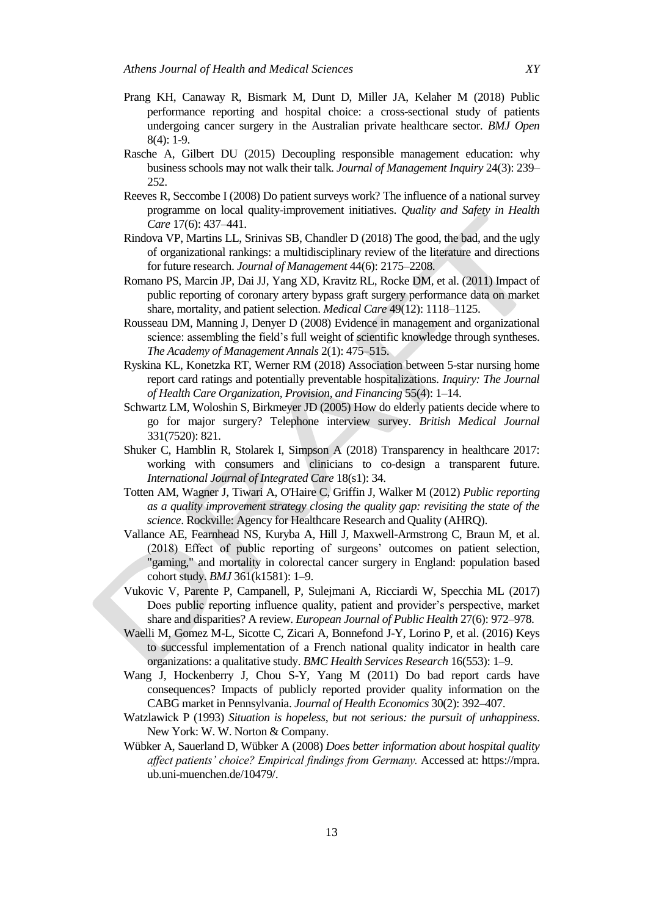- Prang KH, Canaway R, Bismark M, Dunt D, Miller JA, Kelaher M (2018) Public performance reporting and hospital choice: a cross-sectional study of patients undergoing cancer surgery in the Australian private healthcare sector. *BMJ Open* 8(4): 1-9.
- Rasche A, Gilbert DU (2015) Decoupling responsible management education: why business schools may not walk their talk. *Journal of Management Inquiry* 24(3): 239– 252.
- Reeves R, Seccombe I (2008) Do patient surveys work? The influence of a national survey programme on local quality-improvement initiatives. *Quality and Safety in Health Care* 17(6): 437–441.
- Rindova VP, Martins LL, Srinivas SB, Chandler D (2018) The good, the bad, and the ugly of organizational rankings: a multidisciplinary review of the literature and directions for future research. *Journal of Management* 44(6): 2175–2208.
- Romano PS, Marcin JP, Dai JJ, Yang XD, Kravitz RL, Rocke DM, et al. (2011) Impact of public reporting of coronary artery bypass graft surgery performance data on market share, mortality, and patient selection. *Medical Care* 49(12): 1118–1125.
- Rousseau DM, Manning J, Denyer D (2008) Evidence in management and organizational science: assembling the field's full weight of scientific knowledge through syntheses. *The Academy of Management Annals* 2(1): 475–515.
- Ryskina KL, Konetzka RT, Werner RM (2018) Association between 5-star nursing home report card ratings and potentially preventable hospitalizations. *Inquiry: The Journal of Health Care Organization, Provision, and Financing* 55(4): 1–14.
- Schwartz LM, Woloshin S, Birkmeyer JD (2005) How do elderly patients decide where to go for major surgery? Telephone interview survey. *British Medical Journal* 331(7520): 821.
- Shuker C, Hamblin R, Stolarek I, Simpson A (2018) Transparency in healthcare 2017: working with consumers and clinicians to co-design a transparent future. *International Journal of Integrated Care* 18(s1): 34.
- Totten AM, Wagner J, Tiwari A, O'Haire C, Griffin J, Walker M (2012) *Public reporting as a quality improvement strategy closing the quality gap: revisiting the state of the science*. Rockville: Agency for Healthcare Research and Quality (AHRQ).
- Vallance AE, Fearnhead NS, Kuryba A, Hill J, Maxwell-Armstrong C, Braun M, et al. (2018) Effect of public reporting of surgeons' outcomes on patient selection, "gaming," and mortality in colorectal cancer surgery in England: population based cohort study. *BMJ* 361(k1581): 1–9.
- Vukovic V, Parente P, Campanell, P, Sulejmani A, Ricciardi W, Specchia ML (2017) Does public reporting influence quality, patient and provider's perspective, market share and disparities? A review. *European Journal of Public Health* 27(6): 972–978.
- Waelli M, Gomez M-L, Sicotte C, Zicari A, Bonnefond J-Y, Lorino P, et al. (2016) Keys to successful implementation of a French national quality indicator in health care organizations: a qualitative study. *BMC Health Services Research* 16(553): 1–9.
- Wang J, Hockenberry J, Chou S-Y, Yang M (2011) Do bad report cards have consequences? Impacts of publicly reported provider quality information on the CABG market in Pennsylvania. *Journal of Health Economics* 30(2): 392–407.
- Watzlawick P (1993) *Situation is hopeless, but not serious: the pursuit of unhappiness*. New York: W. W. Norton & Company.
- Wübker A, Sauerland D, Wübker A (2008) *Does better information about hospital quality affect patients' choice? Empirical findings from Germany.* Accessed at: https://mpra. ub.uni-muenchen.de/10479/.